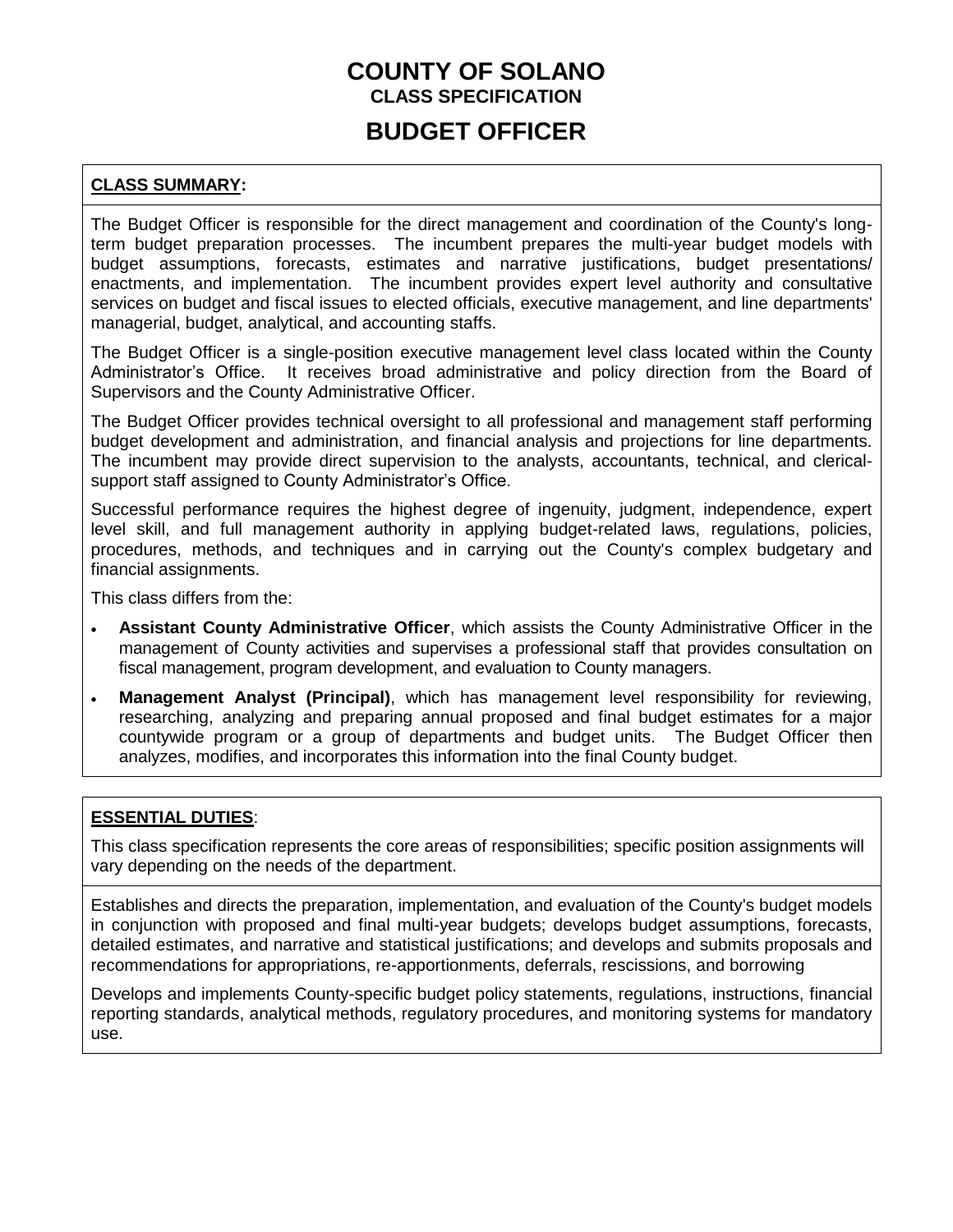### **COUNTY OF SOLANO CLASS SPECIFICATION BUDGET OFFICER**

### **CLASS SUMMARY:**

The Budget Officer is responsible for the direct management and coordination of the County's longterm budget preparation processes. The incumbent prepares the multi-year budget models with budget assumptions, forecasts, estimates and narrative justifications, budget presentations/ enactments, and implementation. The incumbent provides expert level authority and consultative services on budget and fiscal issues to elected officials, executive management, and line departments' managerial, budget, analytical, and accounting staffs.

The Budget Officer is a single-position executive management level class located within the County Administrator's Office. It receives broad administrative and policy direction from the Board of Supervisors and the County Administrative Officer.

The Budget Officer provides technical oversight to all professional and management staff performing budget development and administration, and financial analysis and projections for line departments. The incumbent may provide direct supervision to the analysts, accountants, technical, and clericalsupport staff assigned to County Administrator's Office.

Successful performance requires the highest degree of ingenuity, judgment, independence, expert level skill, and full management authority in applying budget-related laws, regulations, policies, procedures, methods, and techniques and in carrying out the County's complex budgetary and financial assignments.

This class differs from the:

- **Assistant County Administrative Officer**, which assists the County Administrative Officer in the management of County activities and supervises a professional staff that provides consultation on fiscal management, program development, and evaluation to County managers.
- **Management Analyst (Principal)**, which has management level responsibility for reviewing, researching, analyzing and preparing annual proposed and final budget estimates for a major countywide program or a group of departments and budget units. The Budget Officer then analyzes, modifies, and incorporates this information into the final County budget.

### **ESSENTIAL DUTIES**:

This class specification represents the core areas of responsibilities; specific position assignments will vary depending on the needs of the department.

Establishes and directs the preparation, implementation, and evaluation of the County's budget models in conjunction with proposed and final multi-year budgets; develops budget assumptions, forecasts, detailed estimates, and narrative and statistical justifications; and develops and submits proposals and recommendations for appropriations, re-apportionments, deferrals, rescissions, and borrowing

Develops and implements County-specific budget policy statements, regulations, instructions, financial reporting standards, analytical methods, regulatory procedures, and monitoring systems for mandatory use.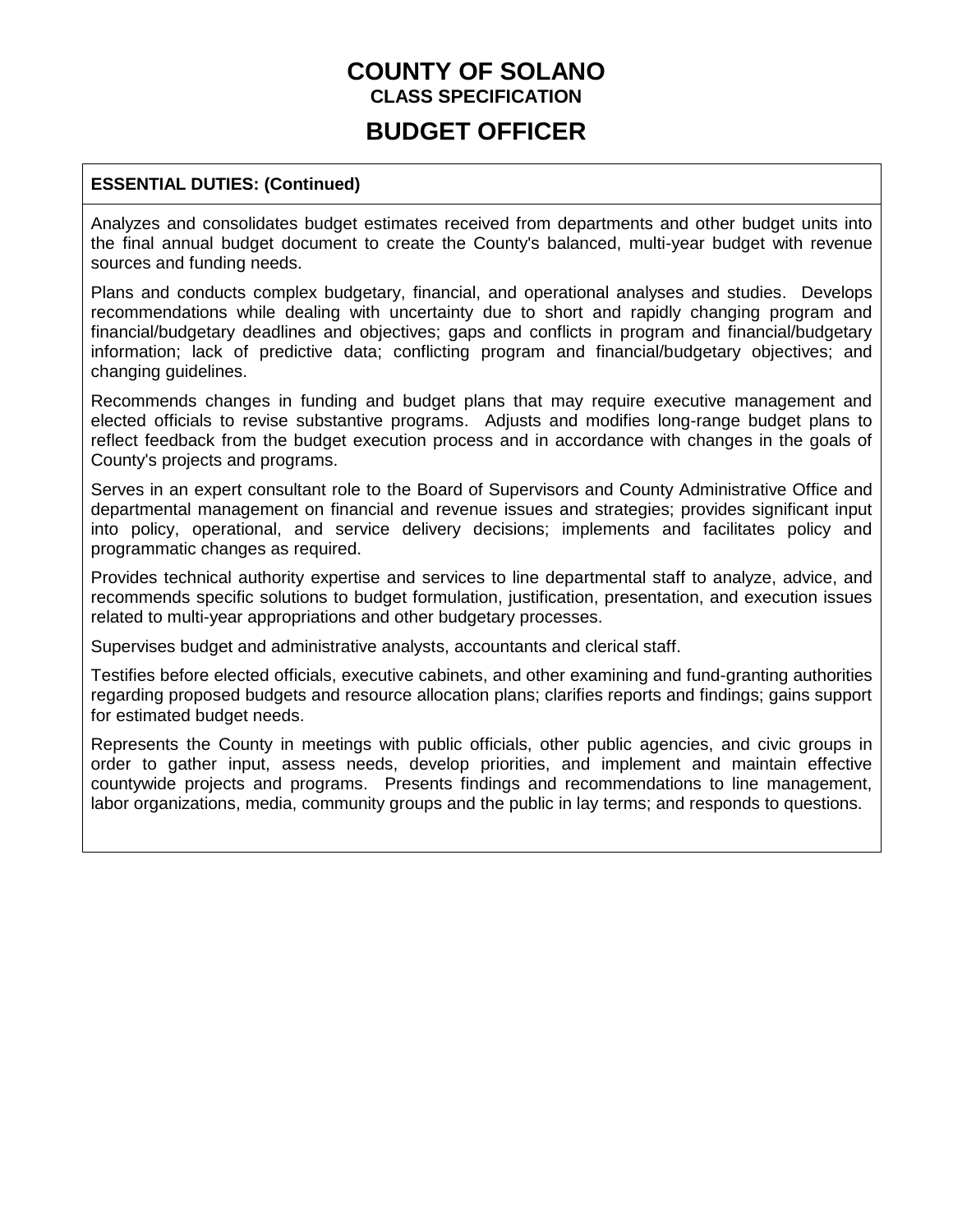### **BUDGET OFFICER**

### **ESSENTIAL DUTIES: (Continued)**

Analyzes and consolidates budget estimates received from departments and other budget units into the final annual budget document to create the County's balanced, multi-year budget with revenue sources and funding needs.

Plans and conducts complex budgetary, financial, and operational analyses and studies. Develops recommendations while dealing with uncertainty due to short and rapidly changing program and financial/budgetary deadlines and objectives; gaps and conflicts in program and financial/budgetary information; lack of predictive data; conflicting program and financial/budgetary objectives; and changing guidelines.

Recommends changes in funding and budget plans that may require executive management and elected officials to revise substantive programs. Adjusts and modifies long-range budget plans to reflect feedback from the budget execution process and in accordance with changes in the goals of County's projects and programs.

Serves in an expert consultant role to the Board of Supervisors and County Administrative Office and departmental management on financial and revenue issues and strategies; provides significant input into policy, operational, and service delivery decisions; implements and facilitates policy and programmatic changes as required.

Provides technical authority expertise and services to line departmental staff to analyze, advice, and recommends specific solutions to budget formulation, justification, presentation, and execution issues related to multi-year appropriations and other budgetary processes.

Supervises budget and administrative analysts, accountants and clerical staff.

Testifies before elected officials, executive cabinets, and other examining and fund-granting authorities regarding proposed budgets and resource allocation plans; clarifies reports and findings; gains support for estimated budget needs.

Represents the County in meetings with public officials, other public agencies, and civic groups in order to gather input, assess needs, develop priorities, and implement and maintain effective countywide projects and programs. Presents findings and recommendations to line management, labor organizations, media, community groups and the public in lay terms; and responds to questions.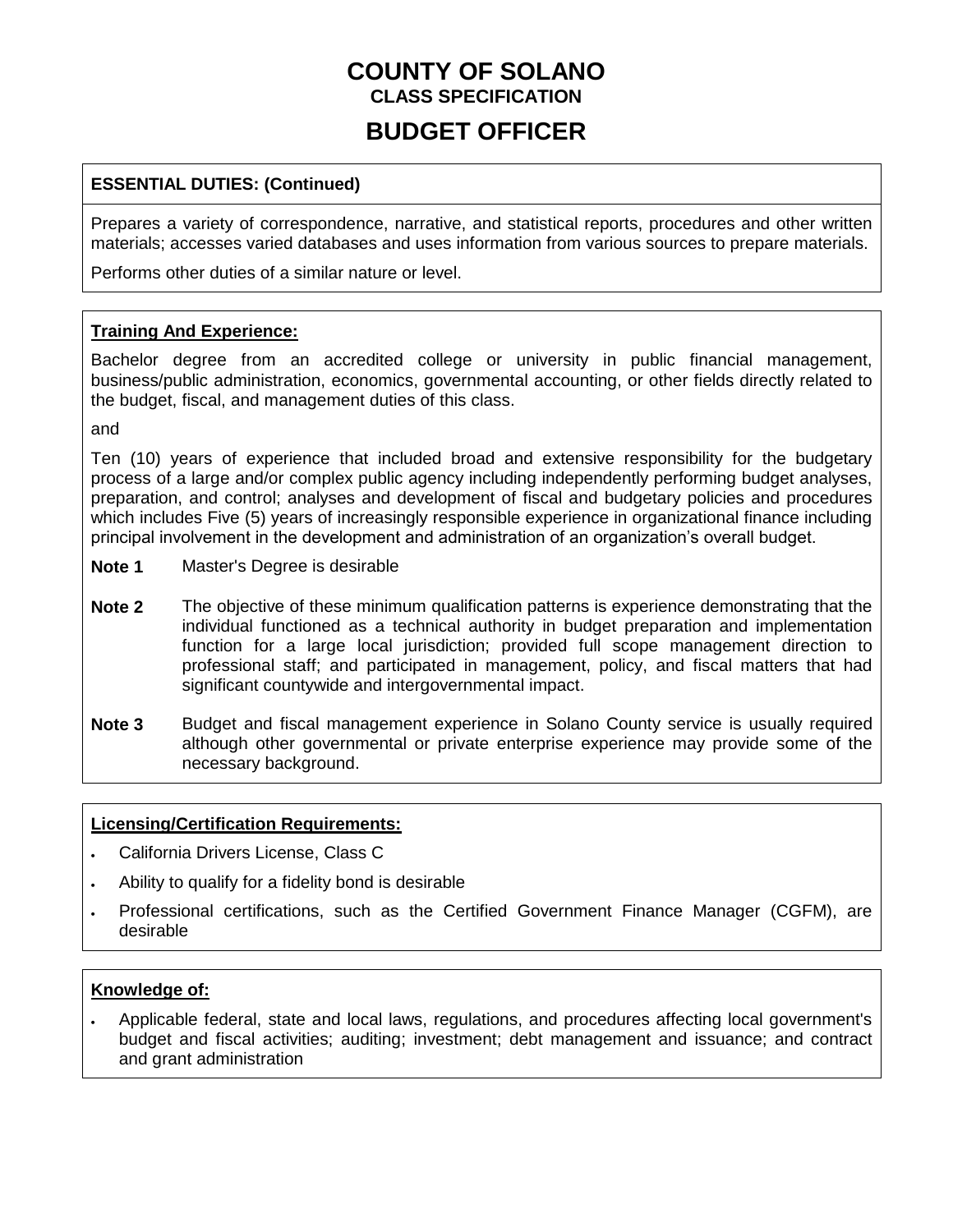### **BUDGET OFFICER**

### **ESSENTIAL DUTIES: (Continued)**

Prepares a variety of correspondence, narrative, and statistical reports, procedures and other written materials; accesses varied databases and uses information from various sources to prepare materials.

Performs other duties of a similar nature or level.

#### **Training And Experience:**

Bachelor degree from an accredited college or university in public financial management, business/public administration, economics, governmental accounting, or other fields directly related to the budget, fiscal, and management duties of this class.

and

Ten (10) years of experience that included broad and extensive responsibility for the budgetary process of a large and/or complex public agency including independently performing budget analyses, preparation, and control; analyses and development of fiscal and budgetary policies and procedures which includes Five (5) years of increasingly responsible experience in organizational finance including principal involvement in the development and administration of an organization's overall budget.

- **Note 1** Master's Degree is desirable
- **Note 2** The objective of these minimum qualification patterns is experience demonstrating that the individual functioned as a technical authority in budget preparation and implementation function for a large local jurisdiction; provided full scope management direction to professional staff; and participated in management, policy, and fiscal matters that had significant countywide and intergovernmental impact.
- **Note 3** Budget and fiscal management experience in Solano County service is usually required although other governmental or private enterprise experience may provide some of the necessary background.

#### **Licensing/Certification Requirements:**

- California Drivers License, Class C
- Ability to qualify for a fidelity bond is desirable
- Professional certifications, such as the Certified Government Finance Manager (CGFM), are desirable

#### **Knowledge of:**

 Applicable federal, state and local laws, regulations, and procedures affecting local government's budget and fiscal activities; auditing; investment; debt management and issuance; and contract and grant administration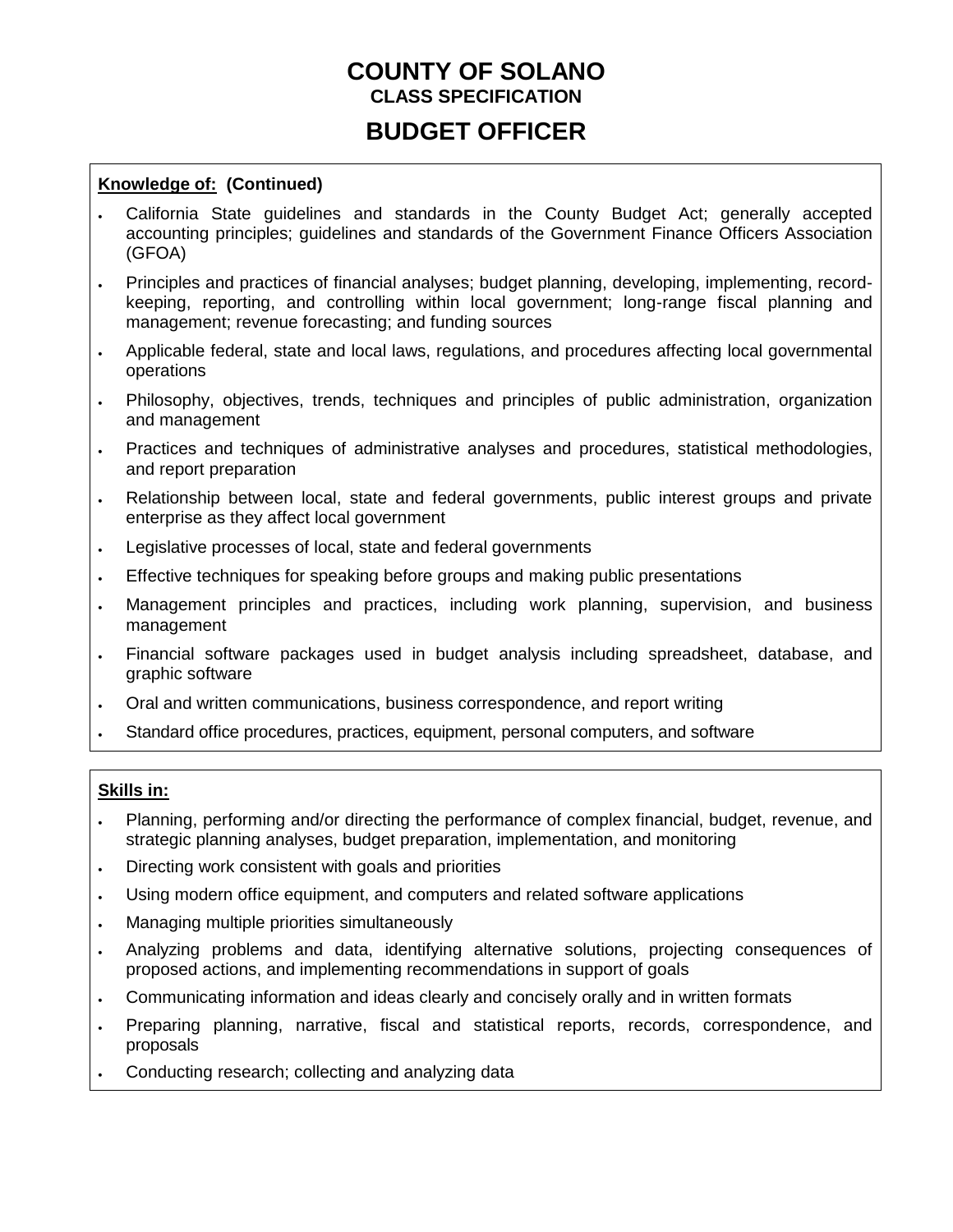### **BUDGET OFFICER**

#### **Knowledge of: (Continued)**

- California State guidelines and standards in the County Budget Act; generally accepted accounting principles; guidelines and standards of the Government Finance Officers Association (GFOA)
- Principles and practices of financial analyses; budget planning, developing, implementing, recordkeeping, reporting, and controlling within local government; long-range fiscal planning and management; revenue forecasting; and funding sources
- Applicable federal, state and local laws, regulations, and procedures affecting local governmental operations
- Philosophy, objectives, trends, techniques and principles of public administration, organization and management
- Practices and techniques of administrative analyses and procedures, statistical methodologies, and report preparation
- Relationship between local, state and federal governments, public interest groups and private enterprise as they affect local government
- Legislative processes of local, state and federal governments
- Effective techniques for speaking before groups and making public presentations
- Management principles and practices, including work planning, supervision, and business management
- Financial software packages used in budget analysis including spreadsheet, database, and graphic software
- Oral and written communications, business correspondence, and report writing
- Standard office procedures, practices, equipment, personal computers, and software

#### **Skills in:**

- Planning, performing and/or directing the performance of complex financial, budget, revenue, and strategic planning analyses, budget preparation, implementation, and monitoring
- Directing work consistent with goals and priorities
- Using modern office equipment, and computers and related software applications
- Managing multiple priorities simultaneously
- Analyzing problems and data, identifying alternative solutions, projecting consequences of proposed actions, and implementing recommendations in support of goals
- Communicating information and ideas clearly and concisely orally and in written formats
- Preparing planning, narrative, fiscal and statistical reports, records, correspondence, and proposals
- Conducting research; collecting and analyzing data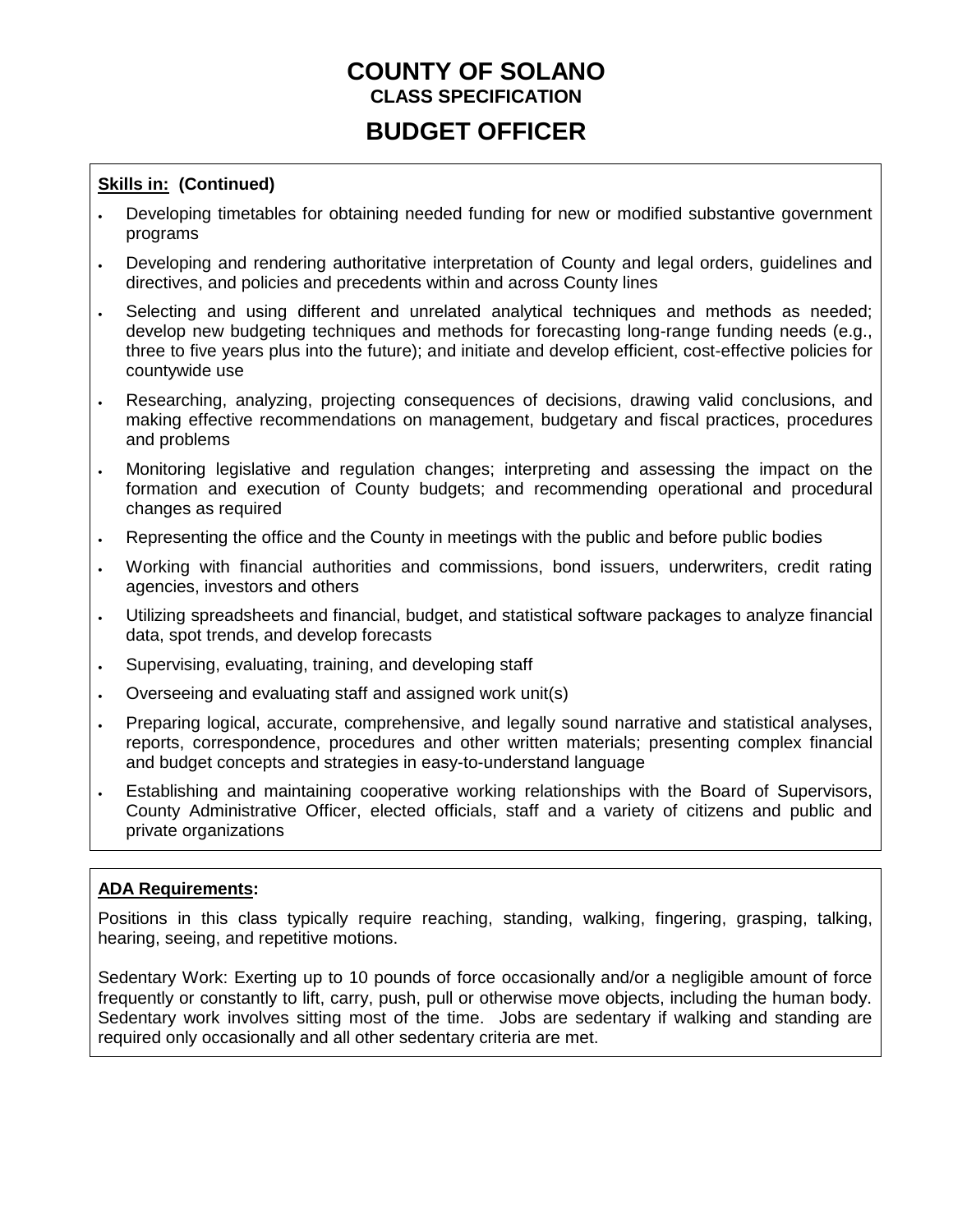# **BUDGET OFFICER**

### **Skills in: (Continued)**

- Developing timetables for obtaining needed funding for new or modified substantive government programs
- Developing and rendering authoritative interpretation of County and legal orders, guidelines and directives, and policies and precedents within and across County lines
- Selecting and using different and unrelated analytical techniques and methods as needed; develop new budgeting techniques and methods for forecasting long-range funding needs (e.g., three to five years plus into the future); and initiate and develop efficient, cost-effective policies for countywide use
- Researching, analyzing, projecting consequences of decisions, drawing valid conclusions, and making effective recommendations on management, budgetary and fiscal practices, procedures and problems
- Monitoring legislative and regulation changes; interpreting and assessing the impact on the formation and execution of County budgets; and recommending operational and procedural changes as required
- Representing the office and the County in meetings with the public and before public bodies
- Working with financial authorities and commissions, bond issuers, underwriters, credit rating agencies, investors and others
- Utilizing spreadsheets and financial, budget, and statistical software packages to analyze financial data, spot trends, and develop forecasts
- . Supervising, evaluating, training, and developing staff
- Overseeing and evaluating staff and assigned work unit(s)
- Preparing logical, accurate, comprehensive, and legally sound narrative and statistical analyses, reports, correspondence, procedures and other written materials; presenting complex financial and budget concepts and strategies in easy-to-understand language
- Establishing and maintaining cooperative working relationships with the Board of Supervisors, County Administrative Officer, elected officials, staff and a variety of citizens and public and private organizations

#### **ADA Requirements:**

Positions in this class typically require reaching, standing, walking, fingering, grasping, talking, hearing, seeing, and repetitive motions.

Sedentary Work: Exerting up to 10 pounds of force occasionally and/or a negligible amount of force frequently or constantly to lift, carry, push, pull or otherwise move objects, including the human body. Sedentary work involves sitting most of the time. Jobs are sedentary if walking and standing are required only occasionally and all other sedentary criteria are met.